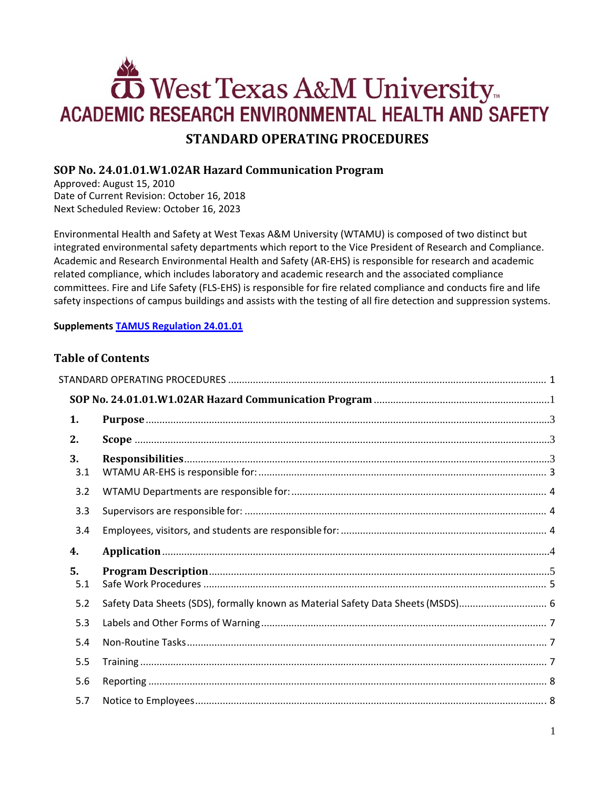# West Texas A&M University **ACADEMIC RESEARCH ENVIRONMENTAL HEALTH AND SAFETY STANDARD OPERATING PROCEDURES**

# **SOP No. 24.01.01.W1.02AR Hazard Communication Program**

Approved: August 15, 2010 Date of Current Revision: October 16, 2018 Next Scheduled Review: October 16, 2023

Environmental Health and Safety at West Texas A&M University (WTAMU) is composed of two distinct but integrated environmental safety departments which report to the Vice President of Research and Compliance. Academic and Research Environmental Health and Safety (AR‐EHS) is responsible for research and academic related compliance, which includes laboratory and academic research and the associated compliance committees. Fire and Life Safety (FLS‐EHS) is responsible for fire related compliance and conducts fire and life safety inspections of campus buildings and assists with the testing of all fire detection and suppression systems.

# **Supplements TAMUS Regulation 24.01.01**

# **Table of Contents**

| 1.        |                                                                                  |  |
|-----------|----------------------------------------------------------------------------------|--|
| 2.        |                                                                                  |  |
| 3.<br>3.1 |                                                                                  |  |
| 3.2       |                                                                                  |  |
| 3.3       |                                                                                  |  |
| 3.4       |                                                                                  |  |
| 4.        |                                                                                  |  |
|           |                                                                                  |  |
| 5.<br>5.1 |                                                                                  |  |
| 5.2       | Safety Data Sheets (SDS), formally known as Material Safety Data Sheets (MSDS) 6 |  |
| 5.3       |                                                                                  |  |
| 5.4       |                                                                                  |  |
| 5.5       |                                                                                  |  |
| 5.6       |                                                                                  |  |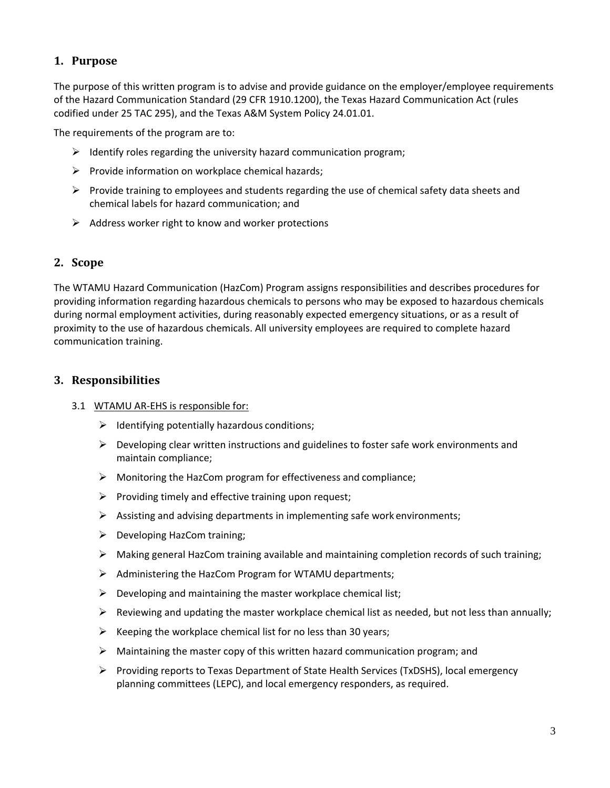# **1. Purpose**

The purpose of this written program is to advise and provide guidance on the employer/employee requirements of the Hazard Communication Standard (29 CFR 1910.1200), the Texas Hazard Communication Act (rules codified under 25 TAC 295), and the Texas A&M System Policy 24.01.01.

The requirements of the program are to:

- $\triangleright$  Identify roles regarding the university hazard communication program;
- $\triangleright$  Provide information on workplace chemical hazards;
- $\triangleright$  Provide training to employees and students regarding the use of chemical safety data sheets and chemical labels for hazard communication; and
- $\triangleright$  Address worker right to know and worker protections

# **2. Scope**

The WTAMU Hazard Communication (HazCom) Program assigns responsibilities and describes procedures for providing information regarding hazardous chemicals to persons who may be exposed to hazardous chemicals during normal employment activities, during reasonably expected emergency situations, or as a result of proximity to the use of hazardous chemicals. All university employees are required to complete hazard communication training.

# **3. Responsibilities**

#### 3.1 WTAMU AR‐EHS is responsible for:

- $\triangleright$  Identifying potentially hazardous conditions;
- $\triangleright$  Developing clear written instructions and guidelines to foster safe work environments and maintain compliance;
- $\triangleright$  Monitoring the HazCom program for effectiveness and compliance;
- $\triangleright$  Providing timely and effective training upon request;
- $\triangleright$  Assisting and advising departments in implementing safe work environments;
- $\triangleright$  Developing HazCom training;
- $\triangleright$  Making general HazCom training available and maintaining completion records of such training;
- $\triangleright$  Administering the HazCom Program for WTAMU departments;
- $\triangleright$  Developing and maintaining the master workplace chemical list;
- $\triangleright$  Reviewing and updating the master workplace chemical list as needed, but not less than annually;
- $\triangleright$  Keeping the workplace chemical list for no less than 30 years;
- $\triangleright$  Maintaining the master copy of this written hazard communication program; and
- Providing reports to Texas Department of State Health Services (TxDSHS), local emergency planning committees (LEPC), and local emergency responders, as required.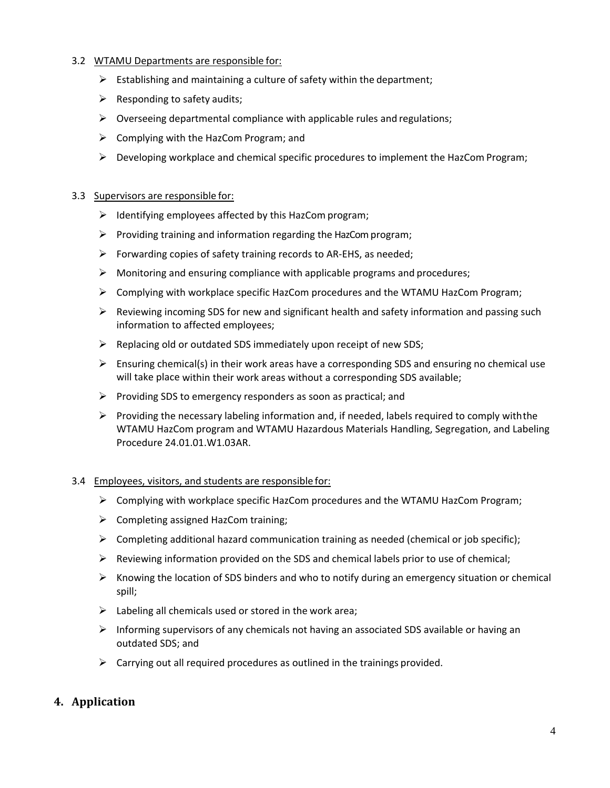# 3.2 WTAMU Departments are responsible for:

- $\triangleright$  Establishing and maintaining a culture of safety within the department;
- $\triangleright$  Responding to safety audits;
- $\triangleright$  Overseeing departmental compliance with applicable rules and regulations;
- $\triangleright$  Complying with the HazCom Program; and
- $\triangleright$  Developing workplace and chemical specific procedures to implement the HazCom Program;

#### 3.3 Supervisors are responsible for:

- $\triangleright$  Identifying employees affected by this HazCom program;
- $\triangleright$  Providing training and information regarding the HazCom program;
- $\triangleright$  Forwarding copies of safety training records to AR-EHS, as needed;
- $\triangleright$  Monitoring and ensuring compliance with applicable programs and procedures;
- $\triangleright$  Complying with workplace specific HazCom procedures and the WTAMU HazCom Program;
- $\triangleright$  Reviewing incoming SDS for new and significant health and safety information and passing such information to affected employees;
- $\triangleright$  Replacing old or outdated SDS immediately upon receipt of new SDS;
- $\triangleright$  Ensuring chemical(s) in their work areas have a corresponding SDS and ensuring no chemical use will take place within their work areas without a corresponding SDS available;
- $\triangleright$  Providing SDS to emergency responders as soon as practical; and
- $\triangleright$  Providing the necessary labeling information and, if needed, labels required to comply with the WTAMU HazCom program and WTAMU Hazardous Materials Handling, Segregation, and Labeling Procedure 24.01.01.W1.03AR.

#### 3.4 Employees, visitors, and students are responsible for:

- $\triangleright$  Complying with workplace specific HazCom procedures and the WTAMU HazCom Program;
- $\triangleright$  Completing assigned HazCom training;
- $\triangleright$  Completing additional hazard communication training as needed (chemical or job specific);
- $\triangleright$  Reviewing information provided on the SDS and chemical labels prior to use of chemical;
- $\triangleright$  Knowing the location of SDS binders and who to notify during an emergency situation or chemical spill;
- $\triangleright$  Labeling all chemicals used or stored in the work area;
- $\triangleright$  Informing supervisors of any chemicals not having an associated SDS available or having an outdated SDS; and
- $\triangleright$  Carrying out all required procedures as outlined in the trainings provided.

# **4. Application**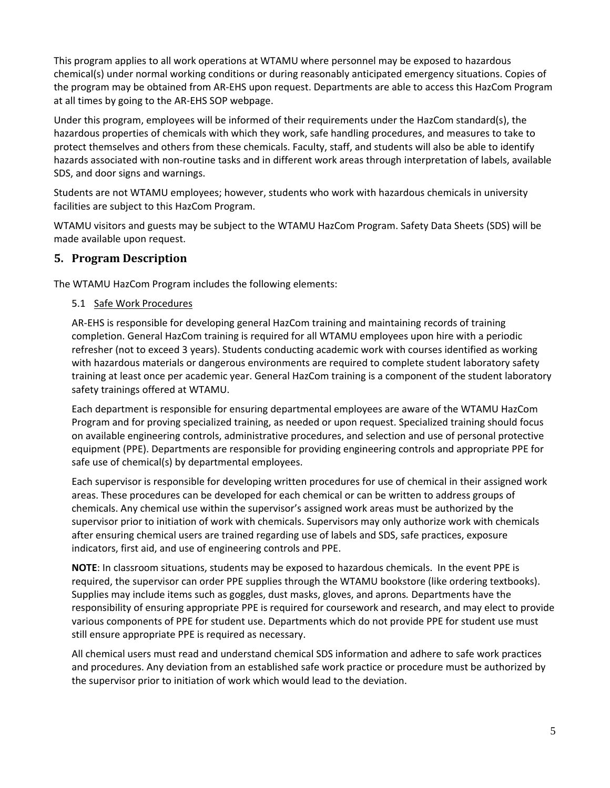This program applies to all work operations at WTAMU where personnel may be exposed to hazardous chemical(s) under normal working conditions or during reasonably anticipated emergency situations. Copies of the program may be obtained from AR‐EHS upon request. Departments are able to access this HazCom Program at all times by going to the AR‐EHS SOP webpage.

Under this program, employees will be informed of their requirements under the HazCom standard(s), the hazardous properties of chemicals with which they work, safe handling procedures, and measures to take to protect themselves and others from these chemicals. Faculty, staff, and students will also be able to identify hazards associated with non‐routine tasks and in different work areas through interpretation of labels, available SDS, and door signs and warnings.

Students are not WTAMU employees; however, students who work with hazardous chemicals in university facilities are subject to this HazCom Program.

WTAMU visitors and guests may be subject to the WTAMU HazCom Program. Safety Data Sheets (SDS) will be made available upon request.

# **5. Program Description**

The WTAMU HazCom Program includes the following elements:

# 5.1 Safe Work Procedures

AR‐EHS is responsible for developing general HazCom training and maintaining records of training completion. General HazCom training is required for all WTAMU employees upon hire with a periodic refresher (not to exceed 3 years). Students conducting academic work with courses identified as working with hazardous materials or dangerous environments are required to complete student laboratory safety training at least once per academic year. General HazCom training is a component of the student laboratory safety trainings offered at WTAMU.

Each department is responsible for ensuring departmental employees are aware of the WTAMU HazCom Program and for proving specialized training, as needed or upon request. Specialized training should focus on available engineering controls, administrative procedures, and selection and use of personal protective equipment (PPE). Departments are responsible for providing engineering controls and appropriate PPE for safe use of chemical(s) by departmental employees.

Each supervisor is responsible for developing written procedures for use of chemical in their assigned work areas. These procedures can be developed for each chemical or can be written to address groups of chemicals. Any chemical use within the supervisor's assigned work areas must be authorized by the supervisor prior to initiation of work with chemicals. Supervisors may only authorize work with chemicals after ensuring chemical users are trained regarding use of labels and SDS, safe practices, exposure indicators, first aid, and use of engineering controls and PPE.

**NOTE**: In classroom situations, students may be exposed to hazardous chemicals. In the event PPE is required, the supervisor can order PPE supplies through the WTAMU bookstore (like ordering textbooks). Supplies may include items such as goggles, dust masks, gloves, and aprons*.* Departments have the responsibility of ensuring appropriate PPE is required for coursework and research, and may elect to provide various components of PPE for student use. Departments which do not provide PPE for student use must still ensure appropriate PPE is required as necessary.

All chemical users must read and understand chemical SDS information and adhere to safe work practices and procedures. Any deviation from an established safe work practice or procedure must be authorized by the supervisor prior to initiation of work which would lead to the deviation.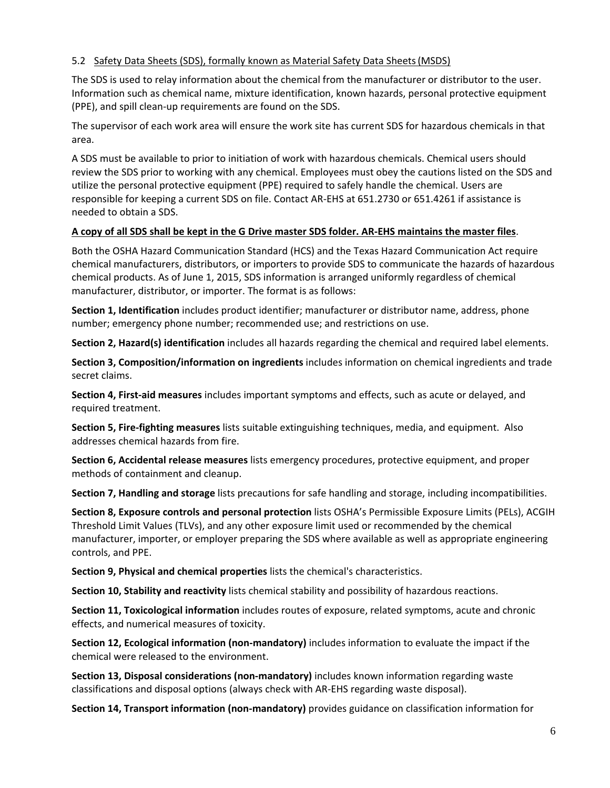# 5.2 Safety Data Sheets (SDS), formally known as Material Safety Data Sheets(MSDS)

The SDS is used to relay information about the chemical from the manufacturer or distributor to the user. Information such as chemical name, mixture identification, known hazards, personal protective equipment (PPE), and spill clean‐up requirements are found on the SDS.

The supervisor of each work area will ensure the work site has current SDS for hazardous chemicals in that area.

A SDS must be available to prior to initiation of work with hazardous chemicals. Chemical users should review the SDS prior to working with any chemical. Employees must obey the cautions listed on the SDS and utilize the personal protective equipment (PPE) required to safely handle the chemical. Users are responsible for keeping a current SDS on file. Contact AR‐EHS at 651.2730 or 651.4261 if assistance is needed to obtain a SDS.

#### A copy of all SDS shall be kept in the G Drive master SDS folder. AR-EHS maintains the master files.

Both the OSHA Hazard Communication Standard (HCS) and the Texas Hazard Communication Act require chemical manufacturers, distributors, or importers to provide SDS to communicate the hazards of hazardous chemical products. As of June 1, 2015, SDS information is arranged uniformly regardless of chemical manufacturer, distributor, or importer. The format is as follows:

**Section 1, Identification** includes product identifier; manufacturer or distributor name, address, phone number; emergency phone number; recommended use; and restrictions on use.

**Section 2, Hazard(s) identification** includes all hazards regarding the chemical and required label elements.

**Section 3, Composition/information on ingredients** includes information on chemical ingredients and trade secret claims.

**Section 4, First‐aid measures** includes important symptoms and effects, such as acute or delayed, and required treatment.

**Section 5, Fire‐fighting measures** lists suitable extinguishing techniques, media, and equipment. Also addresses chemical hazards from fire.

**Section 6, Accidental release measures** lists emergency procedures, protective equipment, and proper methods of containment and cleanup.

**Section 7, Handling and storage** lists precautions for safe handling and storage, including incompatibilities.

**Section 8, Exposure controls and personal protection** lists OSHA's Permissible Exposure Limits (PELs), ACGIH Threshold Limit Values (TLVs), and any other exposure limit used or recommended by the chemical manufacturer, importer, or employer preparing the SDS where available as well as appropriate engineering controls, and PPE.

**Section 9, Physical and chemical properties** lists the chemical's characteristics.

**Section 10, Stability and reactivity** lists chemical stability and possibility of hazardous reactions.

**Section 11, Toxicological information** includes routes of exposure, related symptoms, acute and chronic effects, and numerical measures of toxicity.

**Section 12, Ecological information (non‐mandatory)** includes information to evaluate the impact if the chemical were released to the environment.

**Section 13, Disposal considerations (non‐mandatory)** includes known information regarding waste classifications and disposal options (always check with AR‐EHS regarding waste disposal).

**Section 14, Transport information (non‐mandatory)** provides guidance on classification information for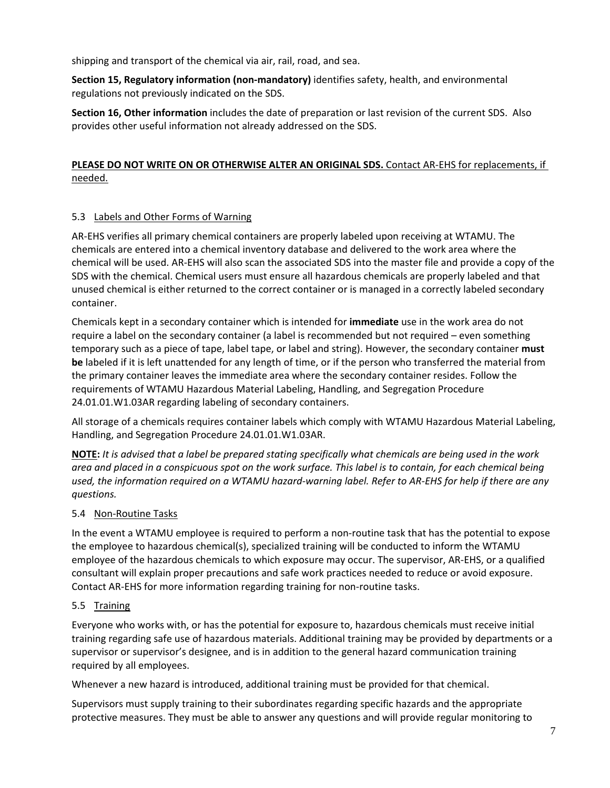shipping and transport of the chemical via air, rail, road, and sea.

**Section 15, Regulatory information (non‐mandatory)** identifies safety, health, and environmental regulations not previously indicated on the SDS.

**Section 16, Other information** includes the date of preparation or last revision of the current SDS. Also provides other useful information not already addressed on the SDS.

# **PLEASE DO NOT WRITE ON OR OTHERWISE ALTER AN ORIGINAL SDS.** Contact AR‐EHS for replacements, if needed.

# 5.3 Labels and Other Forms of Warning

AR‐EHS verifies all primary chemical containers are properly labeled upon receiving at WTAMU. The chemicals are entered into a chemical inventory database and delivered to the work area where the chemical will be used. AR‐EHS will also scan the associated SDS into the master file and provide a copy of the SDS with the chemical. Chemical users must ensure all hazardous chemicals are properly labeled and that unused chemical is either returned to the correct container or is managed in a correctly labeled secondary container.

Chemicals kept in a secondary container which is intended for **immediate** use in the work area do not require a label on the secondary container (a label is recommended but not required – even something temporary such as a piece of tape, label tape, or label and string). However, the secondary container **must be** labeled if it is left unattended for any length of time, or if the person who transferred the material from the primary container leaves the immediate area where the secondary container resides. Follow the requirements of WTAMU Hazardous Material Labeling, Handling, and Segregation Procedure 24.01.01.W1.03AR regarding labeling of secondary containers.

All storage of a chemicals requires container labels which comply with WTAMU Hazardous Material Labeling, Handling, and Segregation Procedure 24.01.01.W1.03AR.

NOTE: It is advised that a label be prepared stating specifically what chemicals are being used in the work area and placed in a conspicuous spot on the work surface. This label is to contain, for each chemical being used, the information required on a WTAMU hazard-warning label. Refer to AR-EHS for help if there are any *questions.*

#### 5.4 Non‐Routine Tasks

In the event a WTAMU employee is required to perform a non-routine task that has the potential to expose the employee to hazardous chemical(s), specialized training will be conducted to inform the WTAMU employee of the hazardous chemicals to which exposure may occur. The supervisor, AR‐EHS, or a qualified consultant will explain proper precautions and safe work practices needed to reduce or avoid exposure. Contact AR‐EHS for more information regarding training for non‐routine tasks.

#### 5.5 Training

Everyone who works with, or has the potential for exposure to, hazardous chemicals must receive initial training regarding safe use of hazardous materials. Additional training may be provided by departments or a supervisor or supervisor's designee, and is in addition to the general hazard communication training required by all employees.

Whenever a new hazard is introduced, additional training must be provided for that chemical.

Supervisors must supply training to their subordinates regarding specific hazards and the appropriate protective measures. They must be able to answer any questions and will provide regular monitoring to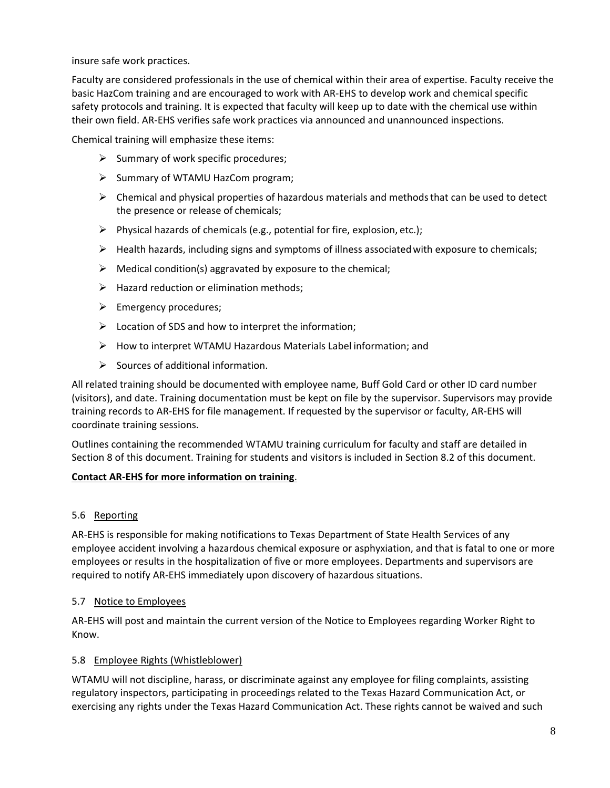insure safe work practices.

Faculty are considered professionals in the use of chemical within their area of expertise. Faculty receive the basic HazCom training and are encouraged to work with AR‐EHS to develop work and chemical specific safety protocols and training. It is expected that faculty will keep up to date with the chemical use within their own field. AR‐EHS verifies safe work practices via announced and unannounced inspections.

Chemical training will emphasize these items:

- $\triangleright$  Summary of work specific procedures;
- $\triangleright$  Summary of WTAMU HazCom program;
- $\triangleright$  Chemical and physical properties of hazardous materials and methods that can be used to detect the presence or release of chemicals;
- $\triangleright$  Physical hazards of chemicals (e.g., potential for fire, explosion, etc.);
- $\triangleright$  Health hazards, including signs and symptoms of illness associated with exposure to chemicals;
- $\triangleright$  Medical condition(s) aggravated by exposure to the chemical;
- $\triangleright$  Hazard reduction or elimination methods;
- $\triangleright$  Emergency procedures;
- $\triangleright$  Location of SDS and how to interpret the information;
- $\triangleright$  How to interpret WTAMU Hazardous Materials Label information; and
- $\triangleright$  Sources of additional information.

All related training should be documented with employee name, Buff Gold Card or other ID card number (visitors), and date. Training documentation must be kept on file by the supervisor. Supervisors may provide training records to AR‐EHS for file management. If requested by the supervisor or faculty, AR‐EHS will coordinate training sessions.

Outlines containing the recommended WTAMU training curriculum for faculty and staff are detailed in Section 8 of this document. Training for students and visitors is included in Section 8.2 of this document.

#### **Contact AR‐EHS for more information on training**.

#### 5.6 Reporting

AR‐EHS is responsible for making notifications to Texas Department of State Health Services of any employee accident involving a hazardous chemical exposure or asphyxiation, and that is fatal to one or more employees or results in the hospitalization of five or more employees. Departments and supervisors are required to notify AR‐EHS immediately upon discovery of hazardous situations.

#### 5.7 Notice to Employees

AR‐EHS will post and maintain the current version of the Notice to Employees regarding Worker Right to Know.

#### 5.8 Employee Rights (Whistleblower)

WTAMU will not discipline, harass, or discriminate against any employee for filing complaints, assisting regulatory inspectors, participating in proceedings related to the Texas Hazard Communication Act, or exercising any rights under the Texas Hazard Communication Act. These rights cannot be waived and such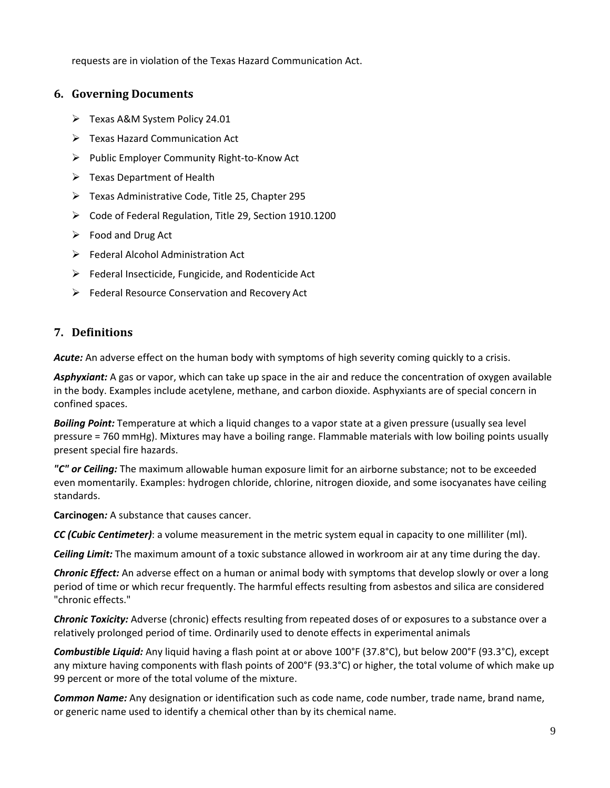requests are in violation of the Texas Hazard Communication Act.

# **6. Governing Documents**

- > Texas A&M System Policy 24.01
- Texas Hazard Communication Act
- Public Employer Community Right‐to‐Know Act
- $\triangleright$  Texas Department of Health
- Texas Administrative Code, Title 25, Chapter 295
- Code of Federal Regulation, Title 29, Section 1910.1200
- $\triangleright$  Food and Drug Act
- $\triangleright$  Federal Alcohol Administration Act
- $\triangleright$  Federal Insecticide, Fungicide, and Rodenticide Act
- $\triangleright$  Federal Resource Conservation and Recovery Act

# **7. Definitions**

*Acute:* An adverse effect on the human body with symptoms of high severity coming quickly to a crisis.

*Asphyxiant:* A gas or vapor, which can take up space in the air and reduce the concentration of oxygen available in the body. Examples include acetylene, methane, and carbon dioxide. Asphyxiants are of special concern in confined spaces.

*Boiling Point:* Temperature at which a liquid changes to a vapor state at a given pressure (usually sea level pressure = 760 mmHg). Mixtures may have a boiling range. Flammable materials with low boiling points usually present special fire hazards.

*"C" or Ceiling:* The maximum allowable human exposure limit for an airborne substance; not to be exceeded even momentarily. Examples: hydrogen chloride, chlorine, nitrogen dioxide, and some isocyanates have ceiling standards.

**Carcinogen***:* A substance that causes cancer.

*CC (Cubic Centimeter)*: a volume measurement in the metric system equal in capacity to one milliliter (ml).

*Ceiling Limit:* The maximum amount of a toxic substance allowed in workroom air at any time during the day.

*Chronic Effect:* An adverse effect on a human or animal body with symptoms that develop slowly or over a long period of time or which recur frequently. The harmful effects resulting from asbestos and silica are considered "chronic effects."

*Chronic Toxicity:* Adverse (chronic) effects resulting from repeated doses of or exposures to a substance over a relatively prolonged period of time. Ordinarily used to denote effects in experimental animals

*Combustible Liquid:* Any liquid having a flash point at or above 100°F (37.8°C), but below 200°F (93.3°C), except any mixture having components with flash points of 200°F (93.3°C) or higher, the total volume of which make up 99 percent or more of the total volume of the mixture.

*Common Name:* Any designation or identification such as code name, code number, trade name, brand name, or generic name used to identify a chemical other than by its chemical name.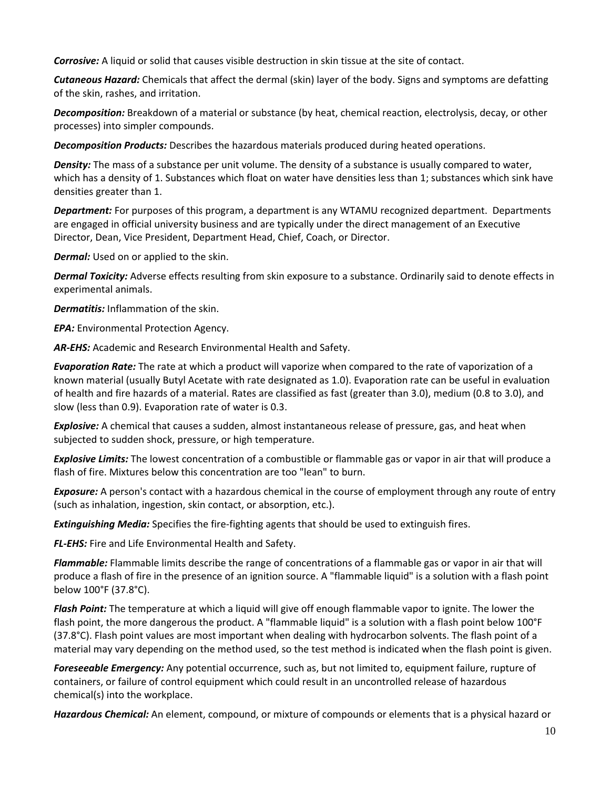*Corrosive:* A liquid or solid that causes visible destruction in skin tissue at the site of contact.

*Cutaneous Hazard:* Chemicals that affect the dermal (skin) layer of the body. Signs and symptoms are defatting of the skin, rashes, and irritation.

*Decomposition:* Breakdown of a material or substance (by heat, chemical reaction, electrolysis, decay, or other processes) into simpler compounds.

*Decomposition Products:* Describes the hazardous materials produced during heated operations.

**Density:** The mass of a substance per unit volume. The density of a substance is usually compared to water, which has a density of 1. Substances which float on water have densities less than 1; substances which sink have densities greater than 1.

*Department:* For purposes of this program, a department is any WTAMU recognized department. Departments are engaged in official university business and are typically under the direct management of an Executive Director, Dean, Vice President, Department Head, Chief, Coach, or Director.

*Dermal:* Used on or applied to the skin.

*Dermal Toxicity:* Adverse effects resulting from skin exposure to a substance. Ordinarily said to denote effects in experimental animals.

*Dermatitis:* Inflammation of the skin.

*EPA:* Environmental Protection Agency.

*AR‐EHS:* Academic and Research Environmental Health and Safety.

*Evaporation Rate:* The rate at which a product will vaporize when compared to the rate of vaporization of a known material (usually Butyl Acetate with rate designated as 1.0). Evaporation rate can be useful in evaluation of health and fire hazards of a material. Rates are classified as fast (greater than 3.0), medium (0.8 to 3.0), and slow (less than 0.9). Evaporation rate of water is 0.3.

*Explosive:* A chemical that causes a sudden, almost instantaneous release of pressure, gas, and heat when subjected to sudden shock, pressure, or high temperature.

*Explosive Limits:* The lowest concentration of a combustible or flammable gas or vapor in air that will produce a flash of fire. Mixtures below this concentration are too "lean" to burn.

*Exposure:* A person's contact with a hazardous chemical in the course of employment through any route of entry (such as inhalation, ingestion, skin contact, or absorption, etc.).

**Extinguishing Media:** Specifies the fire-fighting agents that should be used to extinguish fires.

*FL‐EHS:* Fire and Life Environmental Health and Safety.

*Flammable:* Flammable limits describe the range of concentrations of a flammable gas or vapor in air that will produce a flash of fire in the presence of an ignition source. A "flammable liquid" is a solution with a flash point below 100°F (37.8°C).

*Flash Point:* The temperature at which a liquid will give off enough flammable vapor to ignite. The lower the flash point, the more dangerous the product. A "flammable liquid" is a solution with a flash point below 100°F (37.8°C). Flash point values are most important when dealing with hydrocarbon solvents. The flash point of a material may vary depending on the method used, so the test method is indicated when the flash point is given.

*Foreseeable Emergency:* Any potential occurrence, such as, but not limited to, equipment failure, rupture of containers, or failure of control equipment which could result in an uncontrolled release of hazardous chemical(s) into the workplace.

*Hazardous Chemical:* An element, compound, or mixture of compounds or elements that is a physical hazard or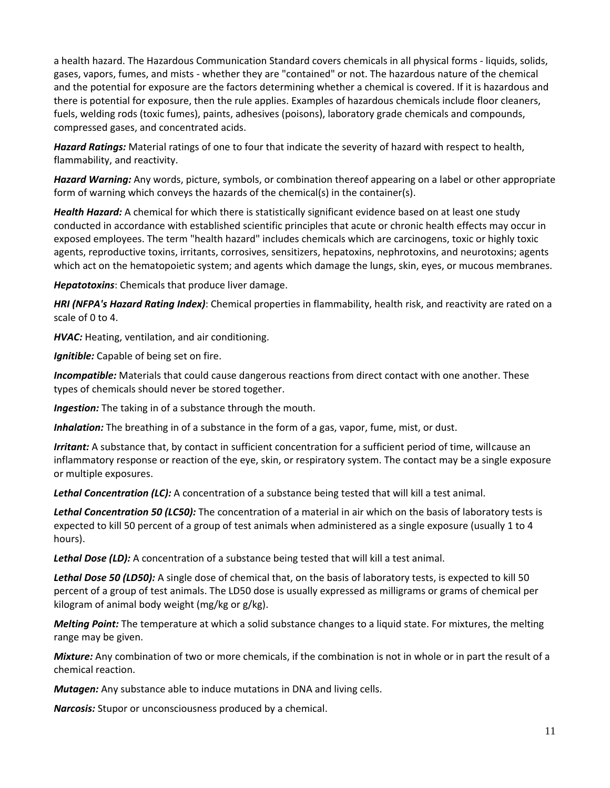a health hazard. The Hazardous Communication Standard covers chemicals in all physical forms ‐ liquids, solids, gases, vapors, fumes, and mists ‐ whether they are "contained" or not. The hazardous nature of the chemical and the potential for exposure are the factors determining whether a chemical is covered. If it is hazardous and there is potential for exposure, then the rule applies. Examples of hazardous chemicals include floor cleaners, fuels, welding rods (toxic fumes), paints, adhesives (poisons), laboratory grade chemicals and compounds, compressed gases, and concentrated acids.

*Hazard Ratings:* Material ratings of one to four that indicate the severity of hazard with respect to health, flammability, and reactivity.

*Hazard Warning:* Any words, picture, symbols, or combination thereof appearing on a label or other appropriate form of warning which conveys the hazards of the chemical(s) in the container(s).

*Health Hazard:* A chemical for which there is statistically significant evidence based on at least one study conducted in accordance with established scientific principles that acute or chronic health effects may occur in exposed employees. The term "health hazard" includes chemicals which are carcinogens, toxic or highly toxic agents, reproductive toxins, irritants, corrosives, sensitizers, hepatoxins, nephrotoxins, and neurotoxins; agents which act on the hematopoietic system; and agents which damage the lungs, skin, eyes, or mucous membranes.

*Hepatotoxins*: Chemicals that produce liver damage.

*HRI (NFPA's Hazard Rating Index)*: Chemical properties in flammability, health risk, and reactivity are rated on a scale of 0 to 4.

*HVAC:* Heating, ventilation, and air conditioning.

**Ignitible:** Capable of being set on fire.

*Incompatible:* Materials that could cause dangerous reactions from direct contact with one another. These types of chemicals should never be stored together.

*Ingestion:* The taking in of a substance through the mouth.

*Inhalation:* The breathing in of a substance in the form of a gas, vapor, fume, mist, or dust.

*Irritant:* A substance that, by contact in sufficient concentration for a sufficient period of time, willcause an inflammatory response or reaction of the eye, skin, or respiratory system. The contact may be a single exposure or multiple exposures.

*Lethal Concentration (LC):* A concentration of a substance being tested that will kill a test animal.

*Lethal Concentration 50 (LC50):* The concentration of a material in air which on the basis of laboratory tests is expected to kill 50 percent of a group of test animals when administered as a single exposure (usually 1 to 4 hours).

*Lethal Dose (LD):* A concentration of a substance being tested that will kill a test animal.

*Lethal Dose 50 (LD50):* A single dose of chemical that, on the basis of laboratory tests, is expected to kill 50 percent of a group of test animals. The LD50 dose is usually expressed as milligrams or grams of chemical per kilogram of animal body weight (mg/kg or g/kg).

*Melting Point:* The temperature at which a solid substance changes to a liquid state. For mixtures, the melting range may be given.

*Mixture:* Any combination of two or more chemicals, if the combination is not in whole or in part the result of a chemical reaction.

*Mutagen:* Any substance able to induce mutations in DNA and living cells.

*Narcosis:* Stupor or unconsciousness produced by a chemical.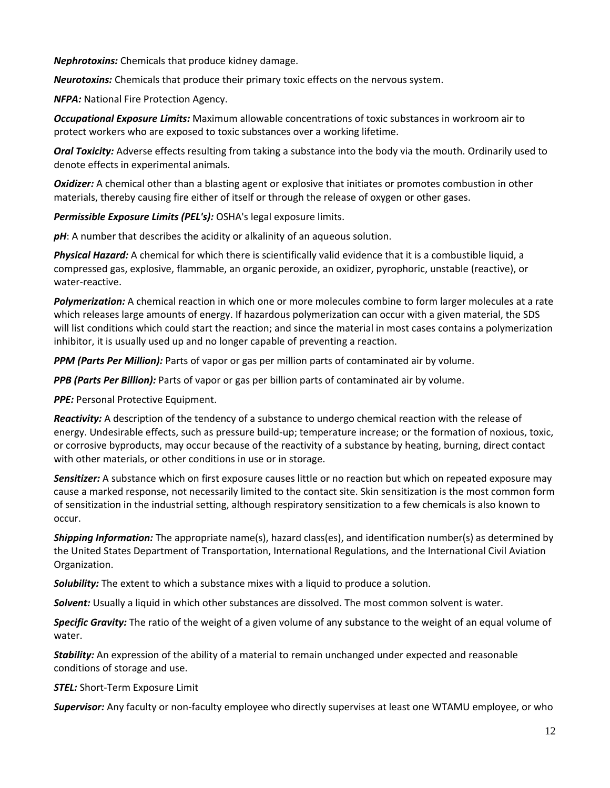*Nephrotoxins:* Chemicals that produce kidney damage.

*Neurotoxins:* Chemicals that produce their primary toxic effects on the nervous system.

*NFPA:* National Fire Protection Agency.

*Occupational Exposure Limits:* Maximum allowable concentrations of toxic substances in workroom air to protect workers who are exposed to toxic substances over a working lifetime.

*Oral Toxicity:* Adverse effects resulting from taking a substance into the body via the mouth. Ordinarily used to denote effects in experimental animals.

*Oxidizer:* A chemical other than a blasting agent or explosive that initiates or promotes combustion in other materials, thereby causing fire either of itself or through the release of oxygen or other gases.

*Permissible Exposure Limits (PEL's):* OSHA's legal exposure limits.

*pH*: A number that describes the acidity or alkalinity of an aqueous solution.

*Physical Hazard:* A chemical for which there is scientifically valid evidence that it is a combustible liquid, a compressed gas, explosive, flammable, an organic peroxide, an oxidizer, pyrophoric, unstable (reactive), or water‐reactive.

*Polymerization:* A chemical reaction in which one or more molecules combine to form larger molecules at a rate which releases large amounts of energy. If hazardous polymerization can occur with a given material, the SDS will list conditions which could start the reaction; and since the material in most cases contains a polymerization inhibitor, it is usually used up and no longer capable of preventing a reaction.

*PPM (Parts Per Million):* Parts of vapor or gas per million parts of contaminated air by volume.

*PPB (Parts Per Billion):* Parts of vapor or gas per billion parts of contaminated air by volume.

**PPE:** Personal Protective Equipment.

*Reactivity:* A description of the tendency of a substance to undergo chemical reaction with the release of energy. Undesirable effects, such as pressure build-up; temperature increase; or the formation of noxious, toxic, or corrosive byproducts, may occur because of the reactivity of a substance by heating, burning, direct contact with other materials, or other conditions in use or in storage.

*Sensitizer:* A substance which on first exposure causes little or no reaction but which on repeated exposure may cause a marked response, not necessarily limited to the contact site. Skin sensitization is the most common form of sensitization in the industrial setting, although respiratory sensitization to a few chemicals is also known to occur.

*Shipping Information:* The appropriate name(s), hazard class(es), and identification number(s) as determined by the United States Department of Transportation, International Regulations, and the International Civil Aviation Organization.

*Solubility:* The extent to which a substance mixes with a liquid to produce a solution.

*Solvent:* Usually a liquid in which other substances are dissolved. The most common solvent is water.

*Specific Gravity:* The ratio of the weight of a given volume of any substance to the weight of an equal volume of water.

*Stability:* An expression of the ability of a material to remain unchanged under expected and reasonable conditions of storage and use.

*STEL:* Short‐Term Exposure Limit

*Supervisor:* Any faculty or non‐faculty employee who directly supervises at least one WTAMU employee, or who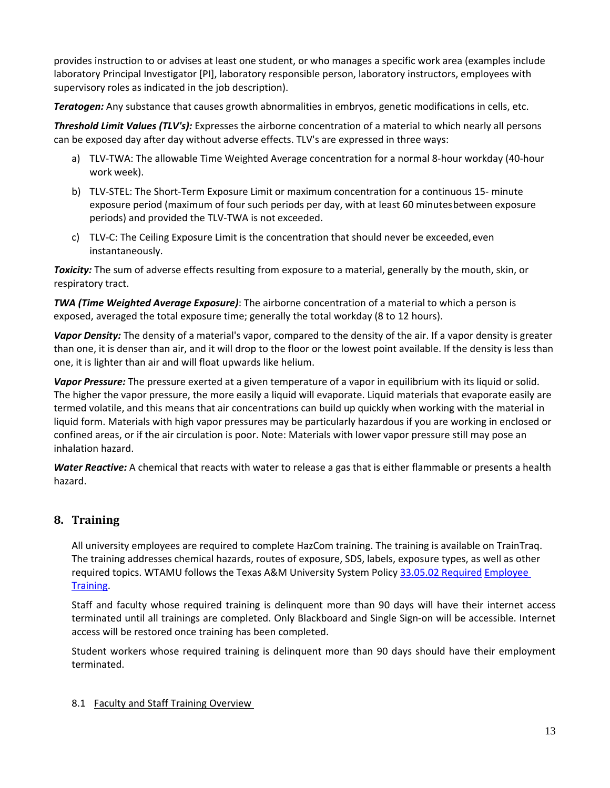provides instruction to or advises at least one student, or who manages a specific work area (examples include laboratory Principal Investigator [PI], laboratory responsible person, laboratory instructors, employees with supervisory roles as indicated in the job description).

*Teratogen:* Any substance that causes growth abnormalities in embryos, genetic modifications in cells, etc.

*Threshold Limit Values (TLV's):* Expresses the airborne concentration of a material to which nearly all persons can be exposed day after day without adverse effects. TLV's are expressed in three ways:

- a) TLV-TWA: The allowable Time Weighted Average concentration for a normal 8-hour workday (40-hour work week).
- b) TLV-STEL: The Short-Term Exposure Limit or maximum concentration for a continuous 15- minute exposure period (maximum of four such periods per day, with at least 60 minutesbetween exposure periods) and provided the TLV‐TWA is not exceeded.
- c) TLV-C: The Ceiling Exposure Limit is the concentration that should never be exceeded, even instantaneously.

*Toxicity:* The sum of adverse effects resulting from exposure to a material, generally by the mouth, skin, or respiratory tract.

*TWA (Time Weighted Average Exposure)*: The airborne concentration of a material to which a person is exposed, averaged the total exposure time; generally the total workday (8 to 12 hours).

*Vapor Density:* The density of a material's vapor, compared to the density of the air. If a vapor density is greater than one, it is denser than air, and it will drop to the floor or the lowest point available. If the density is less than one, it is lighter than air and will float upwards like helium.

*Vapor Pressure:* The pressure exerted at a given temperature of a vapor in equilibrium with its liquid or solid. The higher the vapor pressure, the more easily a liquid will evaporate. Liquid materials that evaporate easily are termed volatile, and this means that air concentrations can build up quickly when working with the material in liquid form. Materials with high vapor pressures may be particularly hazardous if you are working in enclosed or confined areas, or if the air circulation is poor. Note: Materials with lower vapor pressure still may pose an inhalation hazard.

*Water Reactive:* A chemical that reacts with water to release a gas that is either flammable or presents a health hazard.

# **8. Training**

All university employees are required to complete HazCom training. The training is available on TrainTraq. The training addresses chemical hazards, routes of exposure, SDS, labels, exposure types, as well as other required topics. WTAMU follows the Texas A&M University System Policy 33.05.02 Required Employee Training.

Staff and faculty whose required training is delinquent more than 90 days will have their internet access terminated until all trainings are completed. Only Blackboard and Single Sign‐on will be accessible. Internet access will be restored once training has been completed.

Student workers whose required training is delinquent more than 90 days should have their employment terminated.

#### 8.1 Faculty and Staff Training Overview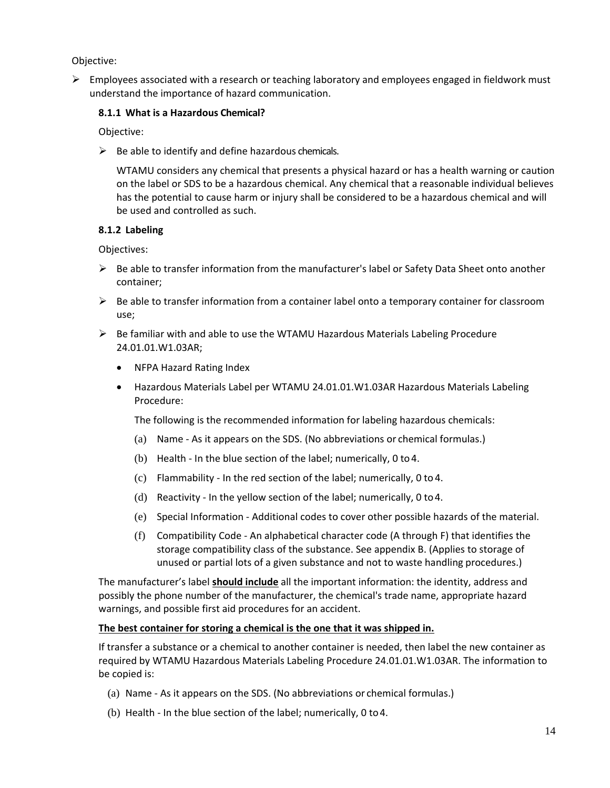Objective:

 $\triangleright$  Employees associated with a research or teaching laboratory and employees engaged in fieldwork must understand the importance of hazard communication.

# **8.1.1 What is a Hazardous Chemical?**

Objective:

 $\triangleright$  Be able to identify and define hazardous chemicals.

WTAMU considers any chemical that presents a physical hazard or has a health warning or caution on the label or SDS to be a hazardous chemical. Any chemical that a reasonable individual believes has the potential to cause harm or injury shall be considered to be a hazardous chemical and will be used and controlled as such.

# **8.1.2 Labeling**

Objectives:

- $\triangleright$  Be able to transfer information from the manufacturer's label or Safety Data Sheet onto another container;
- $\triangleright$  Be able to transfer information from a container label onto a temporary container for classroom use;
- $\triangleright$  Be familiar with and able to use the WTAMU Hazardous Materials Labeling Procedure 24.01.01.W1.03AR;
	- NFPA Hazard Rating Index
	- Hazardous Materials Label per WTAMU 24.01.01.W1.03AR Hazardous Materials Labeling Procedure:

The following is the recommended information for labeling hazardous chemicals:

- (a) Name ‐ As it appears on the SDS. (No abbreviations or chemical formulas.)
- (b) Health ‐ In the blue section of the label; numerically, 0 to 4.
- (c) Flammability ‐ In the red section of the label; numerically, 0 to 4.
- (d) Reactivity ‐ In the yellow section of the label; numerically, 0 to4.
- (e) Special Information ‐ Additional codes to cover other possible hazards of the material.
- (f) Compatibility Code ‐ An alphabetical character code (A through F) that identifies the storage compatibility class of the substance. See appendix B. (Applies to storage of unused or partial lots of a given substance and not to waste handling procedures.)

The manufacturer's label **should include** all the important information: the identity, address and possibly the phone number of the manufacturer, the chemical's trade name, appropriate hazard warnings, and possible first aid procedures for an accident.

#### **The best container for storing a chemical is the one that it was shipped in.**

If transfer a substance or a chemical to another container is needed, then label the new container as required by WTAMU Hazardous Materials Labeling Procedure 24.01.01.W1.03AR. The information to be copied is:

- (a) Name ‐ As it appears on the SDS. (No abbreviations or chemical formulas.)
- (b) Health ‐ In the blue section of the label; numerically, 0 to4.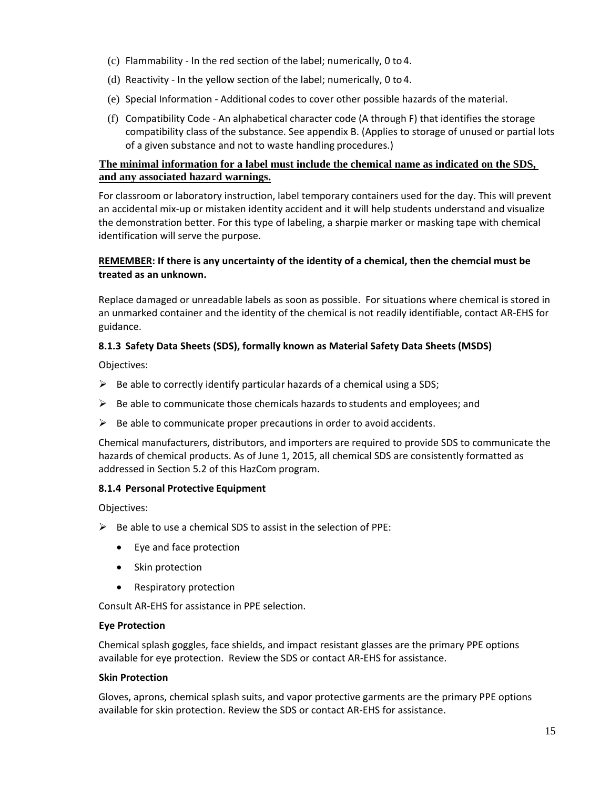- (c) Flammability ‐ In the red section of the label; numerically, 0 to 4.
- (d) Reactivity In the yellow section of the label; numerically, 0 to 4.
- (e) Special Information ‐ Additional codes to cover other possible hazards of the material.
- (f) Compatibility Code ‐ An alphabetical character code (A through F) that identifies the storage compatibility class of the substance. See appendix B. (Applies to storage of unused or partial lots of a given substance and not to waste handling procedures.)

# **The minimal information for a label must include the chemical name as indicated on the SDS, and any associated hazard warnings.**

For classroom or laboratory instruction, label temporary containers used for the day. This will prevent an accidental mix‐up or mistaken identity accident and it will help students understand and visualize the demonstration better. For this type of labeling, a sharpie marker or masking tape with chemical identification will serve the purpose.

# **REMEMBER: If there is any uncertainty of the identity of a chemical, then the chemcial must be treated as an unknown.**

Replace damaged or unreadable labels as soon as possible. For situations where chemical is stored in an unmarked container and the identity of the chemical is not readily identifiable, contact AR‐EHS for guidance.

# **8.1.3 Safety Data Sheets (SDS), formally known as Material Safety Data Sheets (MSDS)**

Objectives:

- $\triangleright$  Be able to correctly identify particular hazards of a chemical using a SDS;
- $\triangleright$  Be able to communicate those chemicals hazards to students and employees; and
- $\triangleright$  Be able to communicate proper precautions in order to avoid accidents.

Chemical manufacturers, distributors, and importers are required to provide SDS to communicate the hazards of chemical products. As of June 1, 2015, all chemical SDS are consistently formatted as addressed in Section 5.2 of this HazCom program.

#### **8.1.4 Personal Protective Equipment**

Objectives:

- $\triangleright$  Be able to use a chemical SDS to assist in the selection of PPE:
	- Eye and face protection
	- Skin protection
	- Respiratory protection

Consult AR‐EHS for assistance in PPE selection.

#### **Eye Protection**

Chemical splash goggles, face shields, and impact resistant glasses are the primary PPE options available for eye protection. Review the SDS or contact AR‐EHS for assistance.

#### **Skin Protection**

Gloves, aprons, chemical splash suits, and vapor protective garments are the primary PPE options available for skin protection. Review the SDS or contact AR‐EHS for assistance.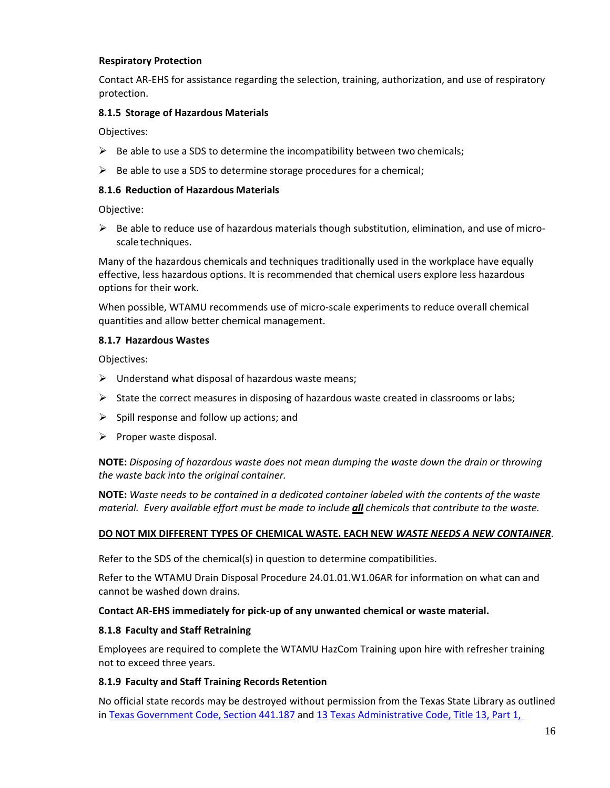# **Respiratory Protection**

Contact AR‐EHS for assistance regarding the selection, training, authorization, and use of respiratory protection.

# **8.1.5 Storage of Hazardous Materials**

Objectives:

- $\triangleright$  Be able to use a SDS to determine the incompatibility between two chemicals;
- $\triangleright$  Be able to use a SDS to determine storage procedures for a chemical;

# **8.1.6 Reduction of Hazardous Materials**

Objective:

 $\triangleright$  Be able to reduce use of hazardous materials though substitution, elimination, and use of microscale techniques.

Many of the hazardous chemicals and techniques traditionally used in the workplace have equally effective, less hazardous options. It is recommended that chemical users explore less hazardous options for their work.

When possible, WTAMU recommends use of micro-scale experiments to reduce overall chemical quantities and allow better chemical management.

#### **8.1.7 Hazardous Wastes**

Objectives:

- $\triangleright$  Understand what disposal of hazardous waste means;
- $\triangleright$  State the correct measures in disposing of hazardous waste created in classrooms or labs;
- $\triangleright$  Spill response and follow up actions; and
- $\triangleright$  Proper waste disposal.

**NOTE:** *Disposing of hazardous waste does not mean dumping the waste down the drain or throwing the waste back into the original container.*

**NOTE:** *Waste needs to be contained in a dedicated container labeled with the contents of the waste material. Every available effort must be made to include all chemicals that contribute to the waste.*

#### **DO NOT MIX DIFFERENT TYPES OF CHEMICAL WASTE. EACH NEW** *WASTE NEEDS A NEW CONTAINER*.

Refer to the SDS of the chemical(s) in question to determine compatibilities.

Refer to the WTAMU Drain Disposal Procedure 24.01.01.W1.06AR for information on what can and cannot be washed down drains.

#### **Contact AR‐EHS immediately for pick‐up of any unwanted chemical or waste material.**

#### **8.1.8 Faculty and Staff Retraining**

Employees are required to complete the WTAMU HazCom Training upon hire with refresher training not to exceed three years.

#### **8.1.9 Faculty and Staff Training Records Retention**

No official state records may be destroyed without permission from the Texas State Library as outlined in Texas Government Code, Section 441.187 and 13 Texas Administrative Code, Title 13, Part 1,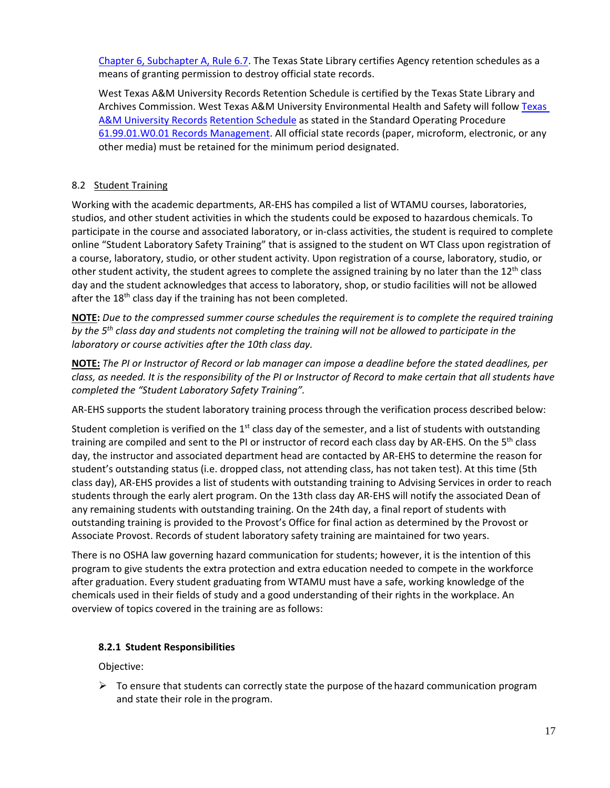Chapter 6, Subchapter A, Rule 6.7. The Texas State Library certifies Agency retention schedules as a means of granting permission to destroy official state records.

West Texas A&M University Records Retention Schedule is certified by the Texas State Library and Archives Commission. West Texas A&M University Environmental Health and Safety will follow Texas A&M University Records Retention Schedule as stated in the Standard Operating Procedure 61.99.01.W0.01 Records Management. All official state records (paper, microform, electronic, or any other media) must be retained for the minimum period designated.

# 8.2 Student Training

Working with the academic departments, AR‐EHS has compiled a list of WTAMU courses, laboratories, studios, and other student activities in which the students could be exposed to hazardous chemicals. To participate in the course and associated laboratory, or in‐class activities, the student is required to complete online "Student Laboratory Safety Training" that is assigned to the student on WT Class upon registration of a course, laboratory, studio, or other student activity. Upon registration of a course, laboratory, studio, or other student activity, the student agrees to complete the assigned training by no later than the  $12<sup>th</sup>$  class day and the student acknowledges that access to laboratory, shop, or studio facilities will not be allowed after the 18<sup>th</sup> class day if the training has not been completed.

**NOTE:** *Due to the compressed summer course schedules the requirement is to complete the required training* by the  $5<sup>th</sup>$  class day and students not completing the training will not be allowed to participate in the *laboratory or course activities after the 10th class day.*

NOTE: The PI or Instructor of Record or lab manager can impose a deadline before the stated deadlines, per class, as needed. It is the responsibility of the PI or Instructor of Record to make certain that all students have *completed the "Student Laboratory Safety Training".*

AR‐EHS supports the student laboratory training process through the verification process described below:

Student completion is verified on the  $1<sup>st</sup>$  class day of the semester, and a list of students with outstanding training are compiled and sent to the PI or instructor of record each class day by AR-EHS. On the 5<sup>th</sup> class day, the instructor and associated department head are contacted by AR‐EHS to determine the reason for student's outstanding status (i.e. dropped class, not attending class, has not taken test). At this time (5th class day), AR‐EHS provides a list of students with outstanding training to Advising Services in order to reach students through the early alert program. On the 13th class day AR‐EHS will notify the associated Dean of any remaining students with outstanding training. On the 24th day, a final report of students with outstanding training is provided to the Provost's Office for final action as determined by the Provost or Associate Provost. Records of student laboratory safety training are maintained for two years.

There is no OSHA law governing hazard communication for students; however, it is the intention of this program to give students the extra protection and extra education needed to compete in the workforce after graduation. Every student graduating from WTAMU must have a safe, working knowledge of the chemicals used in their fields of study and a good understanding of their rights in the workplace. An overview of topics covered in the training are as follows:

# **8.2.1 Student Responsibilities**

Objective:

 $\triangleright$  To ensure that students can correctly state the purpose of the hazard communication program and state their role in the program.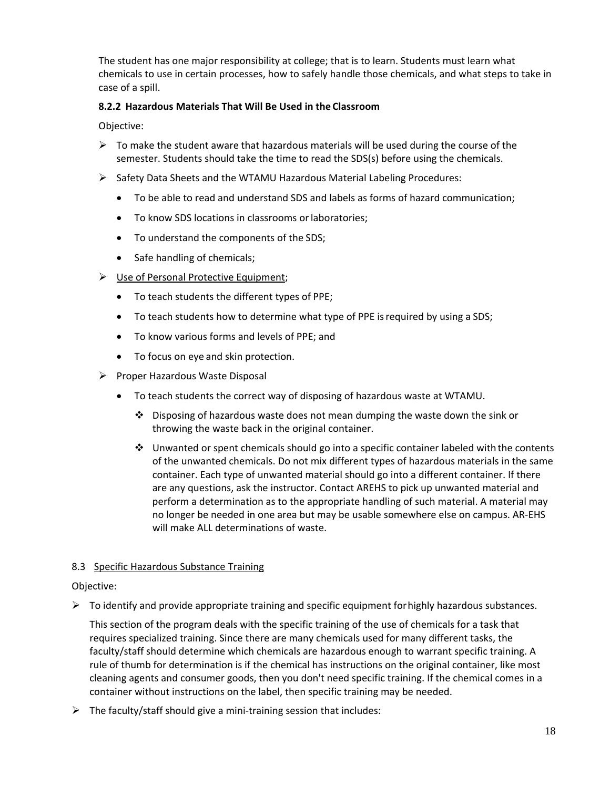The student has one major responsibility at college; that is to learn. Students must learn what chemicals to use in certain processes, how to safely handle those chemicals, and what steps to take in case of a spill.

# **8.2.2 Hazardous Materials That Will Be Used in the Classroom**

Objective:

- $\triangleright$  To make the student aware that hazardous materials will be used during the course of the semester. Students should take the time to read the SDS(s) before using the chemicals.
- $\triangleright$  Safety Data Sheets and the WTAMU Hazardous Material Labeling Procedures:
	- To be able to read and understand SDS and labels as forms of hazard communication;
	- To know SDS locations in classrooms or laboratories;
	- To understand the components of the SDS;
	- Safe handling of chemicals;
- ▶ Use of Personal Protective Equipment;
	- To teach students the different types of PPE;
	- To teach students how to determine what type of PPE is required by using a SDS;
	- To know various forms and levels of PPE; and
	- To focus on eye and skin protection.
- $\triangleright$  Proper Hazardous Waste Disposal
	- To teach students the correct way of disposing of hazardous waste at WTAMU.
		- Disposing of hazardous waste does not mean dumping the waste down the sink or throwing the waste back in the original container.
		- $\div$  Unwanted or spent chemicals should go into a specific container labeled with the contents of the unwanted chemicals. Do not mix different types of hazardous materials in the same container. Each type of unwanted material should go into a different container. If there are any questions, ask the instructor. Contact AREHS to pick up unwanted material and perform a determination as to the appropriate handling of such material. A material may no longer be needed in one area but may be usable somewhere else on campus. AR‐EHS will make ALL determinations of waste.

# 8.3 Specific Hazardous Substance Training

#### Objective:

 $\triangleright$  To identify and provide appropriate training and specific equipment for highly hazardous substances.

This section of the program deals with the specific training of the use of chemicals for a task that requires specialized training. Since there are many chemicals used for many different tasks, the faculty/staff should determine which chemicals are hazardous enough to warrant specific training. A rule of thumb for determination is if the chemical has instructions on the original container, like most cleaning agents and consumer goods, then you don't need specific training. If the chemical comes in a container without instructions on the label, then specific training may be needed.

 $\triangleright$  The faculty/staff should give a mini-training session that includes: